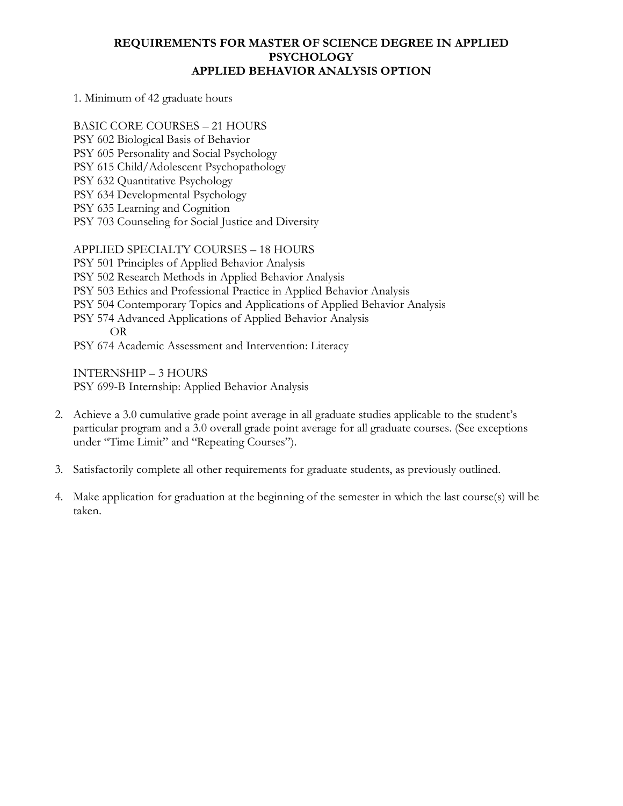#### **REQUIREMENTS FOR MASTER OF SCIENCE DEGREE IN APPLIED PSYCHOLOGY APPLIED BEHAVIOR ANALYSIS OPTION**

1. Minimum of 42 graduate hours

BASIC CORE COURSES – 21 HOURS

- PSY 602 Biological Basis of Behavior
- PSY 605 Personality and Social Psychology
- PSY 615 Child/Adolescent Psychopathology
- PSY 632 Quantitative Psychology
- PSY 634 Developmental Psychology
- PSY 635 Learning and Cognition
- PSY 703 Counseling for Social Justice and Diversity

### APPLIED SPECIALTY COURSES – 18 HOURS

PSY 501 Principles of Applied Behavior Analysis

- PSY 502 Research Methods in Applied Behavior Analysis
- PSY 503 Ethics and Professional Practice in Applied Behavior Analysis
- PSY 504 Contemporary Topics and Applications of Applied Behavior Analysis
- PSY 574 Advanced Applications of Applied Behavior Analysis OR
- PSY 674 Academic Assessment and Intervention: Literacy

INTERNSHIP – 3 HOURS PSY 699-B Internship: Applied Behavior Analysis

- 2. Achieve a 3.0 cumulative grade point average in all graduate studies applicable to the student's particular program and a 3.0 overall grade point average for all graduate courses. (See exceptions under "Time Limit" and "Repeating Courses").
- 3. Satisfactorily complete all other requirements for graduate students, as previously outlined.
- 4. Make application for graduation at the beginning of the semester in which the last course(s) will be taken.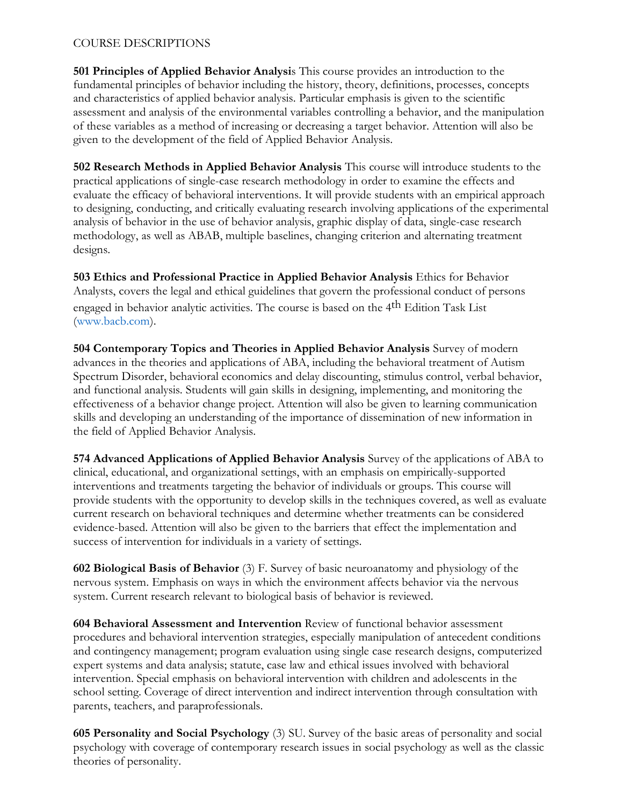#### COURSE DESCRIPTIONS

**501 Principles of Applied Behavior Analysi**s This course provides an introduction to the fundamental principles of behavior including the history, theory, definitions, processes, concepts and characteristics of applied behavior analysis. Particular emphasis is given to the scientific assessment and analysis of the environmental variables controlling a behavior, and the manipulation of these variables as a method of increasing or decreasing a target behavior. Attention will also be given to the development of the field of Applied Behavior Analysis.

**502 Research Methods in Applied Behavior Analysis** This course will introduce students to the practical applications of single-case research methodology in order to examine the effects and evaluate the efficacy of behavioral interventions. It will provide students with an empirical approach to designing, conducting, and critically evaluating research involving applications of the experimental analysis of behavior in the use of behavior analysis, graphic display of data, single-case research methodology, as well as ABAB, multiple baselines, changing criterion and alternating treatment designs.

**503 Ethics and Professional Practice in Applied Behavior Analysis** Ethics for Behavior Analysts, covers the legal and ethical guidelines that govern the professional conduct of persons engaged in behavior analytic activities. The course is based on the 4th Edition Task List (www.bacb.com).

**504 Contemporary Topics and Theories in Applied Behavior Analysis** Survey of modern advances in the theories and applications of ABA, including the behavioral treatment of Autism Spectrum Disorder, behavioral economics and delay discounting, stimulus control, verbal behavior, and functional analysis. Students will gain skills in designing, implementing, and monitoring the effectiveness of a behavior change project. Attention will also be given to learning communication skills and developing an understanding of the importance of dissemination of new information in the field of Applied Behavior Analysis.

**574 Advanced Applications of Applied Behavior Analysis** Survey of the applications of ABA to clinical, educational, and organizational settings, with an emphasis on empirically-supported interventions and treatments targeting the behavior of individuals or groups. This course will provide students with the opportunity to develop skills in the techniques covered, as well as evaluate current research on behavioral techniques and determine whether treatments can be considered evidence-based. Attention will also be given to the barriers that effect the implementation and success of intervention for individuals in a variety of settings.

**602 Biological Basis of Behavior** (3) F. Survey of basic neuroanatomy and physiology of the nervous system. Emphasis on ways in which the environment affects behavior via the nervous system. Current research relevant to biological basis of behavior is reviewed.

**604 Behavioral Assessment and Intervention** Review of functional behavior assessment procedures and behavioral intervention strategies, especially manipulation of antecedent conditions and contingency management; program evaluation using single case research designs, computerized expert systems and data analysis; statute, case law and ethical issues involved with behavioral intervention. Special emphasis on behavioral intervention with children and adolescents in the school setting. Coverage of direct intervention and indirect intervention through consultation with parents, teachers, and paraprofessionals.

**605 Personality and Social Psychology** (3) SU. Survey of the basic areas of personality and social psychology with coverage of contemporary research issues in social psychology as well as the classic theories of personality.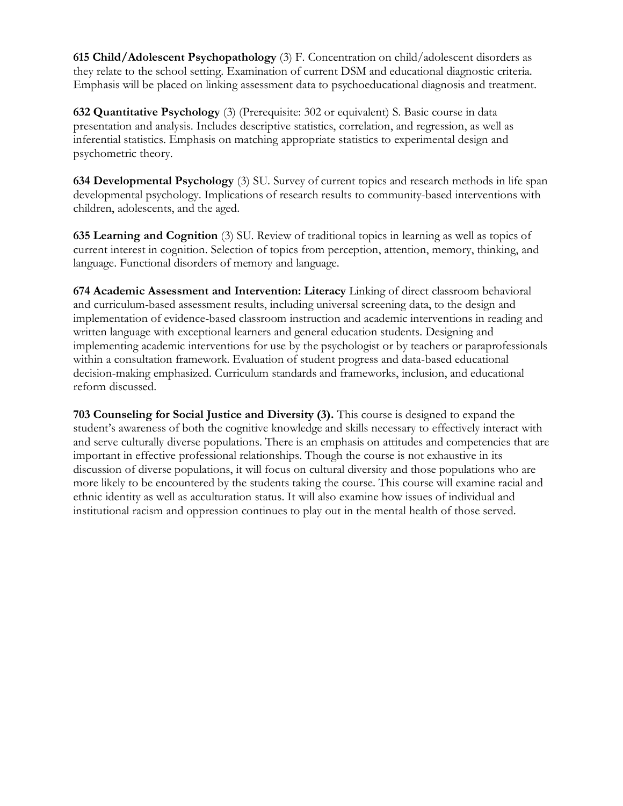**615 Child/Adolescent Psychopathology** (3) F. Concentration on child/adolescent disorders as they relate to the school setting. Examination of current DSM and educational diagnostic criteria. Emphasis will be placed on linking assessment data to psychoeducational diagnosis and treatment.

**632 Quantitative Psychology** (3) (Prerequisite: 302 or equivalent) S. Basic course in data presentation and analysis. Includes descriptive statistics, correlation, and regression, as well as inferential statistics. Emphasis on matching appropriate statistics to experimental design and psychometric theory.

**634 Developmental Psychology** (3) SU. Survey of current topics and research methods in life span developmental psychology. Implications of research results to community-based interventions with children, adolescents, and the aged.

**635 Learning and Cognition** (3) SU. Review of traditional topics in learning as well as topics of current interest in cognition. Selection of topics from perception, attention, memory, thinking, and language. Functional disorders of memory and language.

**674 Academic Assessment and Intervention: Literacy** Linking of direct classroom behavioral and curriculum-based assessment results, including universal screening data, to the design and implementation of evidence-based classroom instruction and academic interventions in reading and written language with exceptional learners and general education students. Designing and implementing academic interventions for use by the psychologist or by teachers or paraprofessionals within a consultation framework. Evaluation of student progress and data-based educational decision-making emphasized. Curriculum standards and frameworks, inclusion, and educational reform discussed.

**703 Counseling for Social Justice and Diversity (3).** This course is designed to expand the student's awareness of both the cognitive knowledge and skills necessary to effectively interact with and serve culturally diverse populations. There is an emphasis on attitudes and competencies that are important in effective professional relationships. Though the course is not exhaustive in its discussion of diverse populations, it will focus on cultural diversity and those populations who are more likely to be encountered by the students taking the course. This course will examine racial and ethnic identity as well as acculturation status. It will also examine how issues of individual and institutional racism and oppression continues to play out in the mental health of those served.